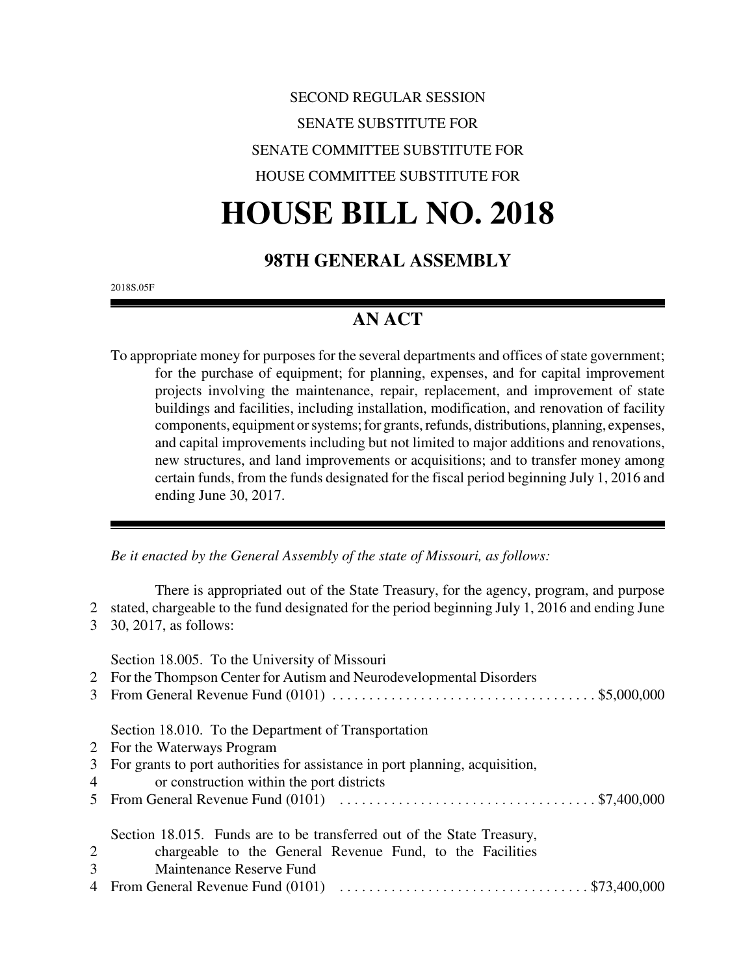# SECOND REGULAR SESSION SENATE SUBSTITUTE FOR SENATE COMMITTEE SUBSTITUTE FOR HOUSE COMMITTEE SUBSTITUTE FOR

# **HOUSE BILL NO. 2018**

# **98TH GENERAL ASSEMBLY**

2018S.05F

# **AN ACT**

To appropriate money for purposes for the several departments and offices of state government; for the purchase of equipment; for planning, expenses, and for capital improvement projects involving the maintenance, repair, replacement, and improvement of state buildings and facilities, including installation, modification, and renovation of facility components, equipment or systems; for grants, refunds, distributions, planning, expenses, and capital improvements including but not limited to major additions and renovations, new structures, and land improvements or acquisitions; and to transfer money among certain funds, from the funds designated for the fiscal period beginning July 1, 2016 and ending June 30, 2017.

*Be it enacted by the General Assembly of the state of Missouri, as follows:*

There is appropriated out of the State Treasury, for the agency, program, and purpose 2 stated, chargeable to the fund designated for the period beginning July 1, 2016 and ending June 3 30, 2017, as follows:

|                | Section 18.005. To the University of Missouri<br>2 For the Thompson Center for Autism and Neurodevelopmental Disorders |
|----------------|------------------------------------------------------------------------------------------------------------------------|
|                | Section 18.010. To the Department of Transportation                                                                    |
|                | 2 For the Waterways Program                                                                                            |
|                | 3 For grants to port authorities for assistance in port planning, acquisition,                                         |
| $\overline{4}$ | or construction within the port districts                                                                              |
|                |                                                                                                                        |
|                | Section 18.015. Funds are to be transferred out of the State Treasury,                                                 |
| 2              | chargeable to the General Revenue Fund, to the Facilities                                                              |
| 3              | Maintenance Reserve Fund                                                                                               |
|                |                                                                                                                        |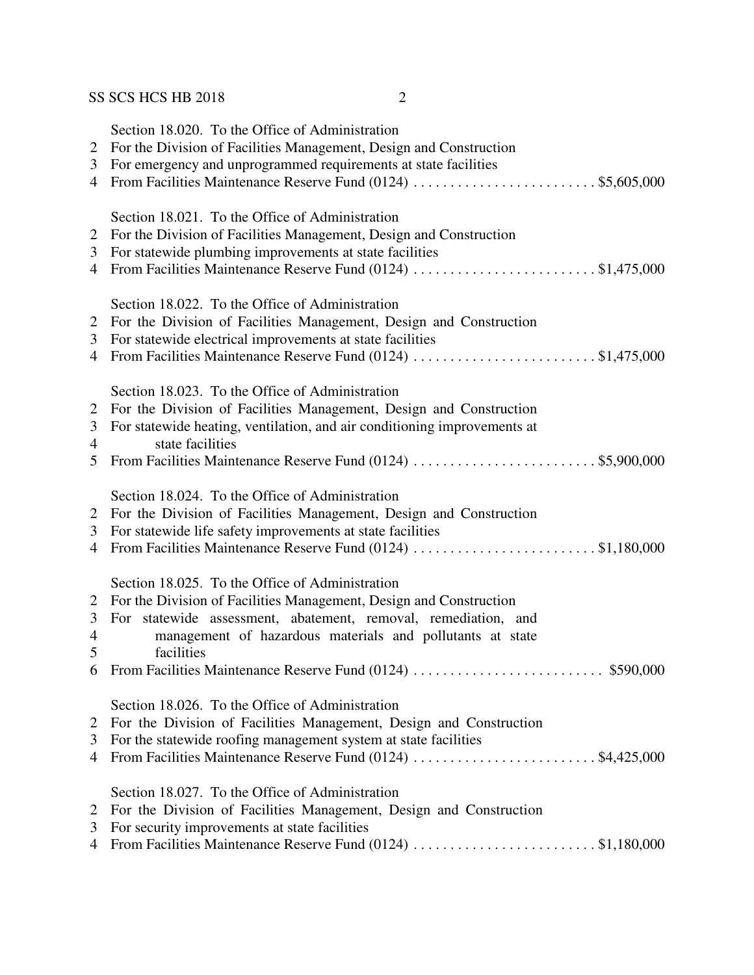| $\overline{2}$<br>3<br>$\overline{4}$ | Section 18.020. To the Office of Administration<br>For the Division of Facilities Management, Design and Construction<br>For emergency and unprogrammed requirements at state facilities                                                                                                                                          |
|---------------------------------------|-----------------------------------------------------------------------------------------------------------------------------------------------------------------------------------------------------------------------------------------------------------------------------------------------------------------------------------|
| 2<br>3<br>$\overline{4}$              | Section 18.021. To the Office of Administration<br>For the Division of Facilities Management, Design and Construction<br>For statewide plumbing improvements at state facilities<br>From Facilities Maintenance Reserve Fund (0124) \$1,475,000                                                                                   |
| 2<br>3<br>$\overline{4}$              | Section 18.022. To the Office of Administration<br>For the Division of Facilities Management, Design and Construction<br>For statewide electrical improvements at state facilities<br>From Facilities Maintenance Reserve Fund (0124) \$1,475,000                                                                                 |
| 2<br>3<br>$\overline{4}$<br>5         | Section 18.023. To the Office of Administration<br>For the Division of Facilities Management, Design and Construction<br>For statewide heating, ventilation, and air conditioning improvements at<br>state facilities                                                                                                             |
| 2<br>3<br>$\overline{4}$              | Section 18.024. To the Office of Administration<br>For the Division of Facilities Management, Design and Construction<br>For statewide life safety improvements at state facilities<br>From Facilities Maintenance Reserve Fund (0124) \$1,180,000                                                                                |
| 2<br>3<br>4<br>5                      | Section 18.025. To the Office of Administration<br>For the Division of Facilities Management, Design and Construction<br>For statewide assessment, abatement, removal, remediation, and<br>management of hazardous materials and pollutants at state<br>facilities<br>6 From Facilities Maintenance Reserve Fund (0124) \$590,000 |
| 2<br>3<br>4                           | Section 18.026. To the Office of Administration<br>For the Division of Facilities Management, Design and Construction<br>For the statewide roofing management system at state facilities<br>From Facilities Maintenance Reserve Fund (0124) \$4,425,000                                                                           |
| 2<br>3<br>$\overline{4}$              | Section 18.027. To the Office of Administration<br>For the Division of Facilities Management, Design and Construction<br>For security improvements at state facilities<br>From Facilities Maintenance Reserve Fund (0124) \$1,180,000                                                                                             |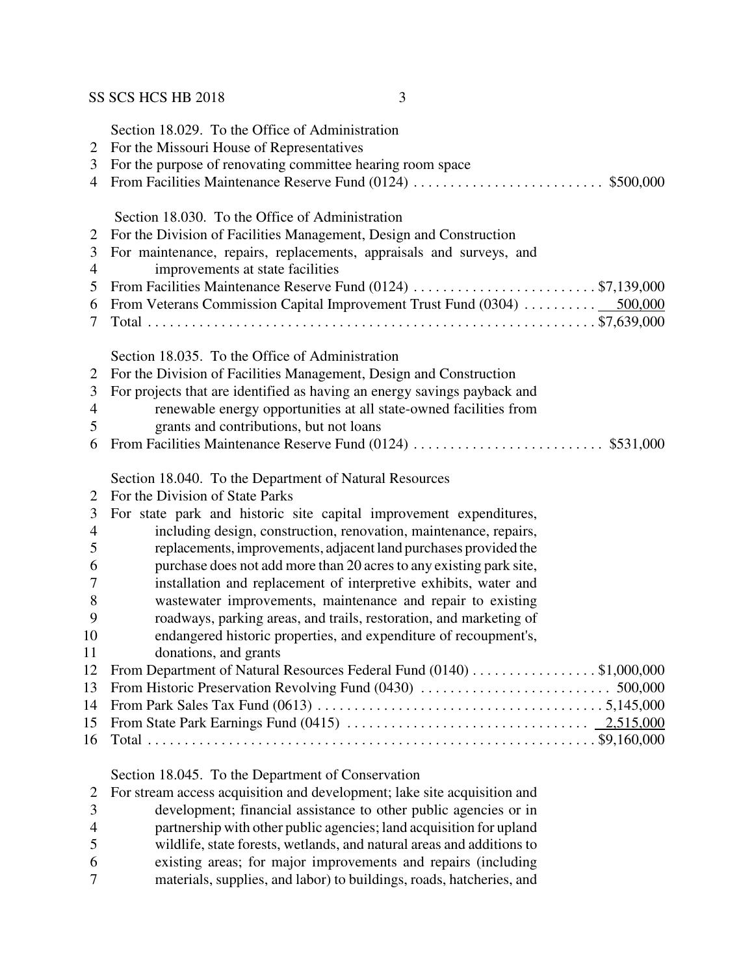|    | Section 18.029. To the Office of Administration                          |
|----|--------------------------------------------------------------------------|
| 2  | For the Missouri House of Representatives                                |
| 3  | For the purpose of renovating committee hearing room space               |
| 4  |                                                                          |
|    |                                                                          |
|    | Section 18.030. To the Office of Administration                          |
| 2  | For the Division of Facilities Management, Design and Construction       |
| 3  | For maintenance, repairs, replacements, appraisals and surveys, and      |
| 4  | improvements at state facilities                                         |
| 5  | From Facilities Maintenance Reserve Fund (0124) \$7,139,000              |
| 6  | From Veterans Commission Capital Improvement Trust Fund (0304)  500,000  |
| 7  |                                                                          |
|    |                                                                          |
|    | Section 18.035. To the Office of Administration                          |
| 2  | For the Division of Facilities Management, Design and Construction       |
| 3  | For projects that are identified as having an energy savings payback and |
| 4  | renewable energy opportunities at all state-owned facilities from        |
| 5  | grants and contributions, but not loans                                  |
| 6  |                                                                          |
|    |                                                                          |
|    | Section 18.040. To the Department of Natural Resources                   |
| 2  | For the Division of State Parks                                          |
| 3  | For state park and historic site capital improvement expenditures,       |
| 4  | including design, construction, renovation, maintenance, repairs,        |
| 5  | replacements, improvements, adjacent land purchases provided the         |
| 6  | purchase does not add more than 20 acres to any existing park site,      |
| 7  | installation and replacement of interpretive exhibits, water and         |
| 8  | wastewater improvements, maintenance and repair to existing              |
| 9  | roadways, parking areas, and trails, restoration, and marketing of       |
| 10 | endangered historic properties, and expenditure of recoupment's,         |
| 11 | donations, and grants                                                    |
| 12 | From Department of Natural Resources Federal Fund (0140)<br>\$1,000,000  |
| 13 |                                                                          |
| 14 |                                                                          |
| 15 |                                                                          |
| 16 |                                                                          |
|    |                                                                          |
|    | Section 18.045. To the Department of Conservation                        |
| 2  | For stream access acquisition and development; lake site acquisition and |
| 3  | development; financial assistance to other public agencies or in         |
| 4  | partnership with other public agencies; land acquisition for upland      |
| 5  | wildlife, state forests, wetlands, and natural areas and additions to    |
| 6  | existing areas; for major improvements and repairs (including            |

materials, supplies, and labor) to buildings, roads, hatcheries, and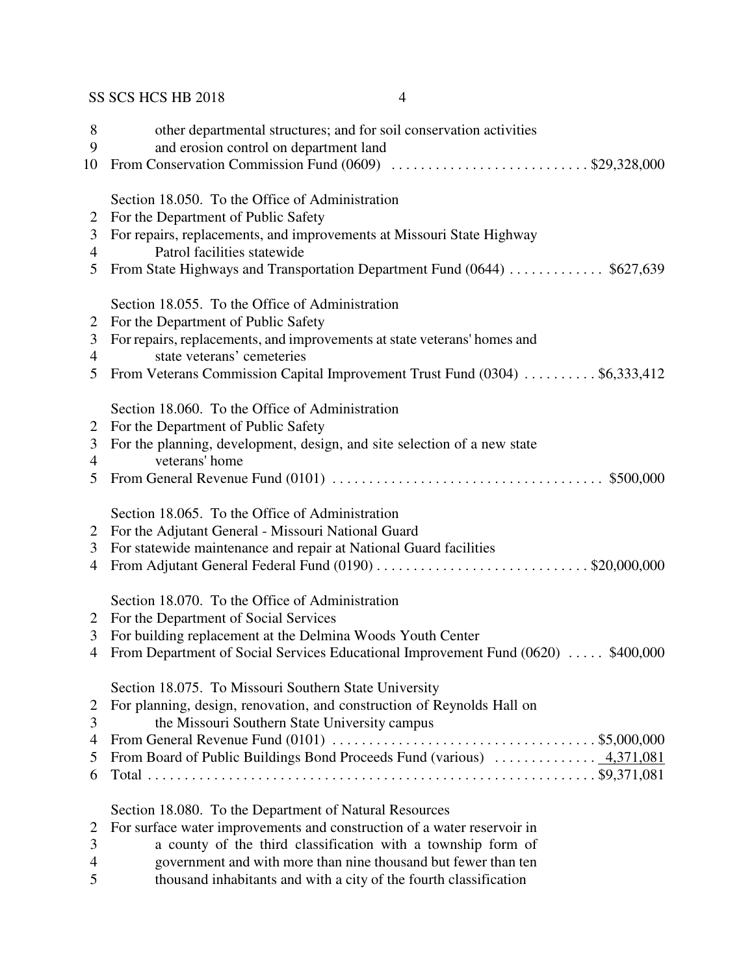| 8<br>9<br>10   | other departmental structures; and for soil conservation activities<br>and erosion control on department land<br>From Conservation Commission Fund (0609) \$29,328,000 |
|----------------|------------------------------------------------------------------------------------------------------------------------------------------------------------------------|
|                |                                                                                                                                                                        |
|                | Section 18.050. To the Office of Administration                                                                                                                        |
| 2              | For the Department of Public Safety                                                                                                                                    |
| 3              | For repairs, replacements, and improvements at Missouri State Highway                                                                                                  |
| 4              | Patrol facilities statewide                                                                                                                                            |
| 5              | From State Highways and Transportation Department Fund (0644)  \$627,639                                                                                               |
|                | Section 18.055. To the Office of Administration                                                                                                                        |
| 2              | For the Department of Public Safety                                                                                                                                    |
| 3              | For repairs, replacements, and improvements at state veterans' homes and                                                                                               |
| $\overline{4}$ | state veterans' cemeteries                                                                                                                                             |
| 5              | From Veterans Commission Capital Improvement Trust Fund (0304) \$6,333,412                                                                                             |
|                | Section 18.060. To the Office of Administration                                                                                                                        |
| 2              | For the Department of Public Safety                                                                                                                                    |
| 3              | For the planning, development, design, and site selection of a new state                                                                                               |
| 4              | veterans' home                                                                                                                                                         |
| 5              |                                                                                                                                                                        |
|                | Section 18.065. To the Office of Administration                                                                                                                        |
| 2              | For the Adjutant General - Missouri National Guard                                                                                                                     |
| 3              | For statewide maintenance and repair at National Guard facilities                                                                                                      |
| 4              | From Adjutant General Federal Fund (0190) \$20,000,000                                                                                                                 |
|                | Section 18.070. To the Office of Administration                                                                                                                        |
| 2              | For the Department of Social Services                                                                                                                                  |
| 3              | For building replacement at the Delmina Woods Youth Center                                                                                                             |
| 4              | From Department of Social Services Educational Improvement Fund (0620)  \$400,000                                                                                      |
|                |                                                                                                                                                                        |
| 2              | Section 18.075. To Missouri Southern State University<br>For planning, design, renovation, and construction of Reynolds Hall on                                        |
| 3              | the Missouri Southern State University campus                                                                                                                          |
| 4              |                                                                                                                                                                        |
| 5              |                                                                                                                                                                        |
| 6              |                                                                                                                                                                        |
|                | Section 18.080. To the Department of Natural Resources                                                                                                                 |
| 2              | For surface water improvements and construction of a water reservoir in                                                                                                |
| 3              | a county of the third classification with a township form of                                                                                                           |
| 4              | government and with more than nine thousand but fewer than ten                                                                                                         |
| 5              | thousand inhabitants and with a city of the fourth classification                                                                                                      |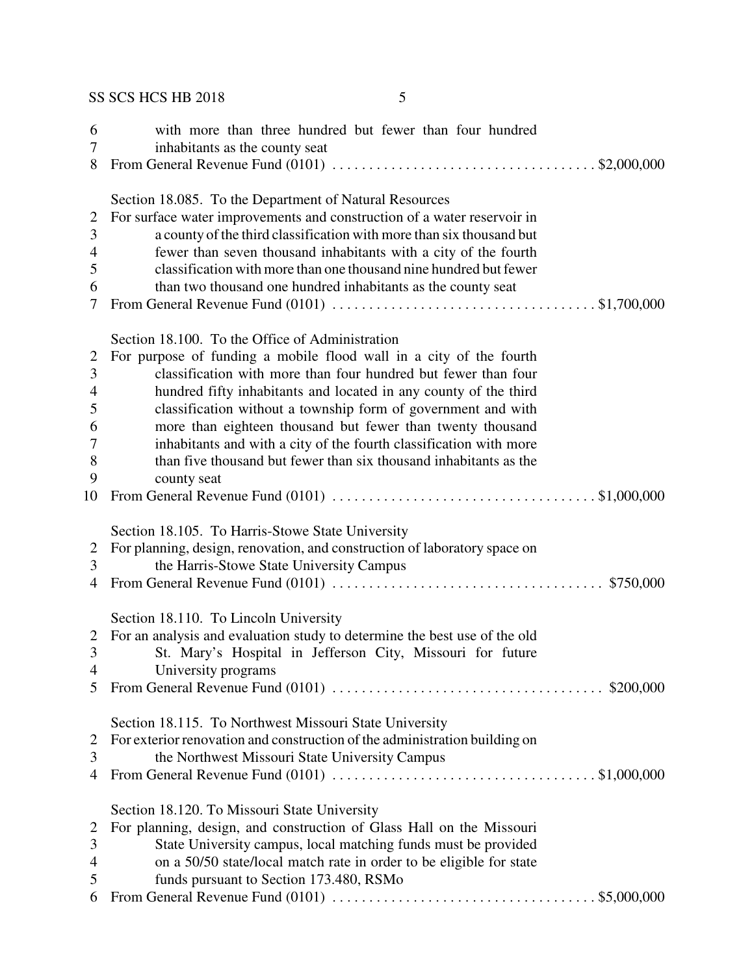| 6<br>7<br>8                                             | with more than three hundred but fewer than four hundred<br>inhabitants as the county seat                                                                                                                                                                                                                                                                                                                                                                                                                                                           |
|---------------------------------------------------------|------------------------------------------------------------------------------------------------------------------------------------------------------------------------------------------------------------------------------------------------------------------------------------------------------------------------------------------------------------------------------------------------------------------------------------------------------------------------------------------------------------------------------------------------------|
| 2<br>3<br>4<br>5<br>6<br>7                              | Section 18.085. To the Department of Natural Resources<br>For surface water improvements and construction of a water reservoir in<br>a county of the third classification with more than six thousand but<br>fewer than seven thousand inhabitants with a city of the fourth<br>classification with more than one thousand nine hundred but fewer<br>than two thousand one hundred inhabitants as the county seat                                                                                                                                    |
| $\overline{2}$<br>3<br>4<br>5<br>6<br>7<br>8<br>9<br>10 | Section 18.100. To the Office of Administration<br>For purpose of funding a mobile flood wall in a city of the fourth<br>classification with more than four hundred but fewer than four<br>hundred fifty inhabitants and located in any county of the third<br>classification without a township form of government and with<br>more than eighteen thousand but fewer than twenty thousand<br>inhabitants and with a city of the fourth classification with more<br>than five thousand but fewer than six thousand inhabitants as the<br>county seat |
| 2<br>3<br>$\overline{4}$                                | Section 18.105. To Harris-Stowe State University<br>For planning, design, renovation, and construction of laboratory space on<br>the Harris-Stowe State University Campus                                                                                                                                                                                                                                                                                                                                                                            |
| 2<br>3<br>4<br>5                                        | Section 18.110. To Lincoln University<br>For an analysis and evaluation study to determine the best use of the old<br>St. Mary's Hospital in Jefferson City, Missouri for future<br>University programs                                                                                                                                                                                                                                                                                                                                              |
| 2<br>3<br>4                                             | Section 18.115. To Northwest Missouri State University<br>For exterior renovation and construction of the administration building on<br>the Northwest Missouri State University Campus                                                                                                                                                                                                                                                                                                                                                               |
| 2<br>3<br>4<br>5<br>6                                   | Section 18.120. To Missouri State University<br>For planning, design, and construction of Glass Hall on the Missouri<br>State University campus, local matching funds must be provided<br>on a 50/50 state/local match rate in order to be eligible for state<br>funds pursuant to Section 173.480, RSMo                                                                                                                                                                                                                                             |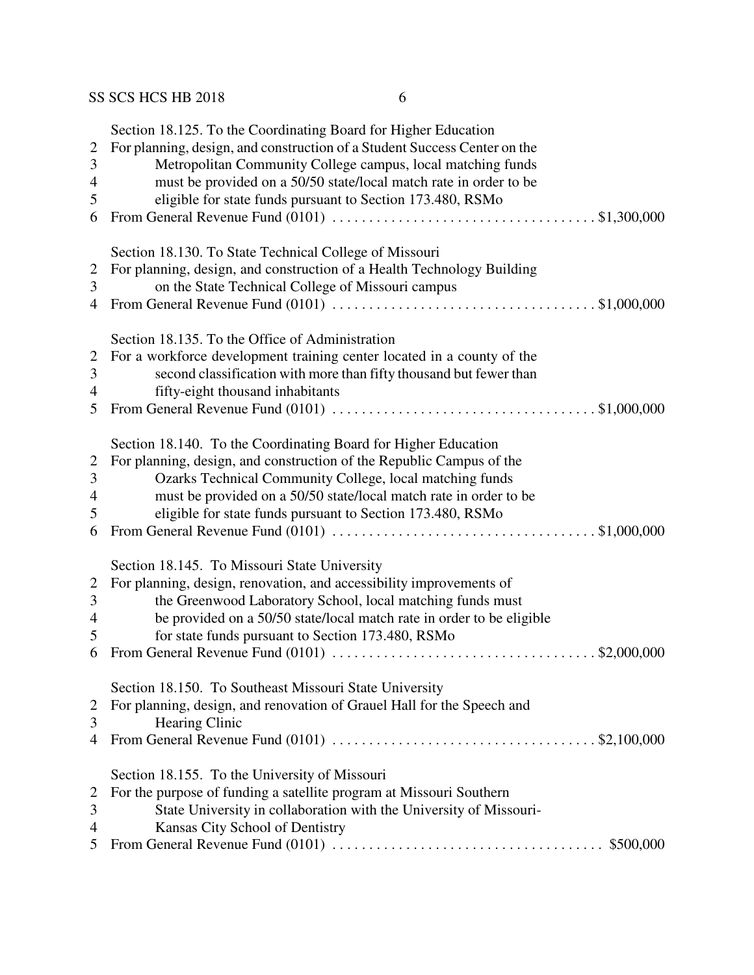| $\mathbf{2}$<br>$\mathfrak{Z}$<br>4<br>5        | Section 18.125. To the Coordinating Board for Higher Education<br>For planning, design, and construction of a Student Success Center on the<br>Metropolitan Community College campus, local matching funds<br>must be provided on a 50/50 state/local match rate in order to be<br>eligible for state funds pursuant to Section 173.480, RSMo |
|-------------------------------------------------|-----------------------------------------------------------------------------------------------------------------------------------------------------------------------------------------------------------------------------------------------------------------------------------------------------------------------------------------------|
| 6                                               |                                                                                                                                                                                                                                                                                                                                               |
| $\overline{2}$<br>3<br>4                        | Section 18.130. To State Technical College of Missouri<br>For planning, design, and construction of a Health Technology Building<br>on the State Technical College of Missouri campus                                                                                                                                                         |
| $\overline{2}$<br>$\mathfrak{Z}$<br>4<br>5      | Section 18.135. To the Office of Administration<br>For a workforce development training center located in a county of the<br>second classification with more than fifty thousand but fewer than<br>fifty-eight thousand inhabitants                                                                                                           |
| $\overline{2}$<br>$\mathfrak{Z}$<br>4<br>5<br>6 | Section 18.140. To the Coordinating Board for Higher Education<br>For planning, design, and construction of the Republic Campus of the<br>Ozarks Technical Community College, local matching funds<br>must be provided on a 50/50 state/local match rate in order to be<br>eligible for state funds pursuant to Section 173.480, RSMo         |
| $\overline{2}$<br>$\mathfrak{Z}$<br>4<br>5<br>6 | Section 18.145. To Missouri State University<br>For planning, design, renovation, and accessibility improvements of<br>the Greenwood Laboratory School, local matching funds must<br>be provided on a 50/50 state/local match rate in order to be eligible<br>for state funds pursuant to Section 173.480, RSMo                               |
| $\overline{2}$<br>3<br>4                        | Section 18.150. To Southeast Missouri State University<br>For planning, design, and renovation of Grauel Hall for the Speech and<br><b>Hearing Clinic</b>                                                                                                                                                                                     |
| $\overline{2}$<br>3<br>4<br>5                   | Section 18.155. To the University of Missouri<br>For the purpose of funding a satellite program at Missouri Southern<br>State University in collaboration with the University of Missouri-<br>Kansas City School of Dentistry                                                                                                                 |